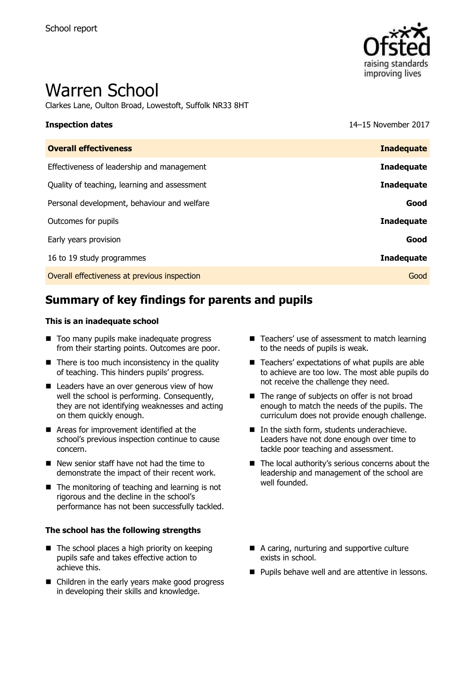

# Warren School

Clarkes Lane, Oulton Broad, Lowestoft, Suffolk NR33 8HT

**Inspection dates** 14–15 November 2017

| <b>Overall effectiveness</b>                 | <b>Inadequate</b> |
|----------------------------------------------|-------------------|
| Effectiveness of leadership and management   | <b>Inadequate</b> |
| Quality of teaching, learning and assessment | <b>Inadequate</b> |
| Personal development, behaviour and welfare  | Good              |
| Outcomes for pupils                          | Inadequate        |
| Early years provision                        | Good              |
| 16 to 19 study programmes                    | <b>Inadequate</b> |
| Overall effectiveness at previous inspection | Good              |
|                                              |                   |

# **Summary of key findings for parents and pupils**

#### **This is an inadequate school**

- Too many pupils make inadequate progress from their starting points. Outcomes are poor.
- $\blacksquare$  There is too much inconsistency in the quality of teaching. This hinders pupils' progress.
- **E** Leaders have an over generous view of how well the school is performing. Consequently, they are not identifying weaknesses and acting on them quickly enough.
- **Areas for improvement identified at the** school's previous inspection continue to cause concern.
- New senior staff have not had the time to demonstrate the impact of their recent work.
- The monitoring of teaching and learning is not rigorous and the decline in the school's performance has not been successfully tackled.

#### **The school has the following strengths**

- $\blacksquare$  The school places a high priority on keeping pupils safe and takes effective action to achieve this.
- Children in the early years make good progress in developing their skills and knowledge.
- Teachers' use of assessment to match learning to the needs of pupils is weak.
- Teachers' expectations of what pupils are able to achieve are too low. The most able pupils do not receive the challenge they need.
- The range of subjects on offer is not broad enough to match the needs of the pupils. The curriculum does not provide enough challenge.
- In the sixth form, students underachieve. Leaders have not done enough over time to tackle poor teaching and assessment.
- The local authority's serious concerns about the leadership and management of the school are well founded.
- A caring, nurturing and supportive culture exists in school.
- **Pupils behave well and are attentive in lessons.**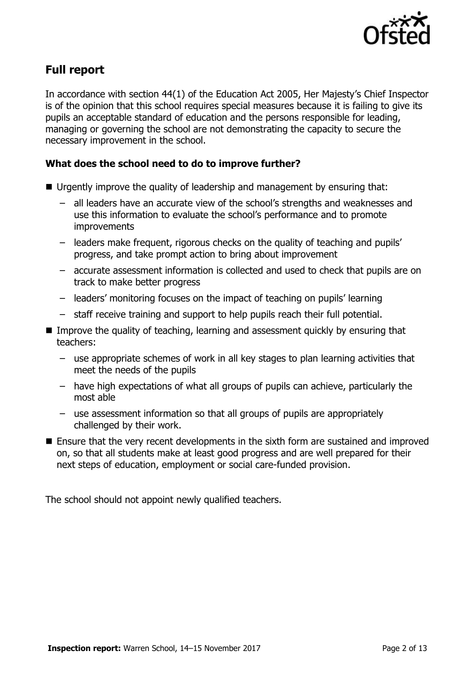

# **Full report**

In accordance with section 44(1) of the Education Act 2005, Her Majesty's Chief Inspector is of the opinion that this school requires special measures because it is failing to give its pupils an acceptable standard of education and the persons responsible for leading, managing or governing the school are not demonstrating the capacity to secure the necessary improvement in the school.

### **What does the school need to do to improve further?**

- Urgently improve the quality of leadership and management by ensuring that:
	- all leaders have an accurate view of the school's strengths and weaknesses and use this information to evaluate the school's performance and to promote **improvements**
	- leaders make frequent, rigorous checks on the quality of teaching and pupils' progress, and take prompt action to bring about improvement
	- accurate assessment information is collected and used to check that pupils are on track to make better progress
	- leaders' monitoring focuses on the impact of teaching on pupils' learning
	- staff receive training and support to help pupils reach their full potential.
- Improve the quality of teaching, learning and assessment quickly by ensuring that teachers:
	- use appropriate schemes of work in all key stages to plan learning activities that meet the needs of the pupils
	- have high expectations of what all groups of pupils can achieve, particularly the most able
	- use assessment information so that all groups of pupils are appropriately challenged by their work.
- Ensure that the very recent developments in the sixth form are sustained and improved on, so that all students make at least good progress and are well prepared for their next steps of education, employment or social care-funded provision.

The school should not appoint newly qualified teachers.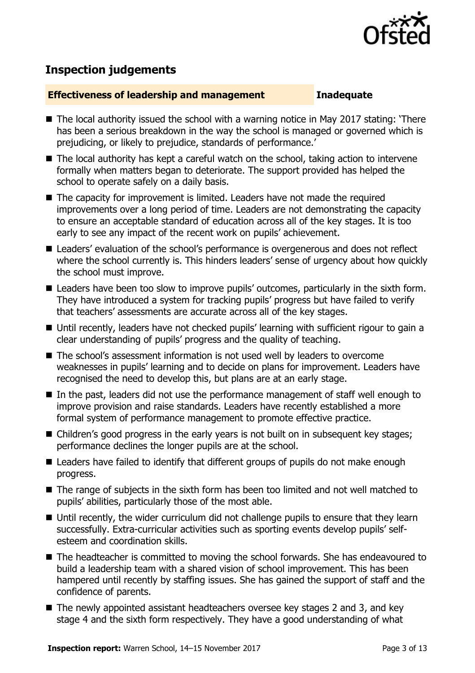

# **Inspection judgements**

#### **Effectiveness of leadership and management Inadequate**

- The local authority issued the school with a warning notice in May 2017 stating: 'There has been a serious breakdown in the way the school is managed or governed which is prejudicing, or likely to prejudice, standards of performance.'
- $\blacksquare$  The local authority has kept a careful watch on the school, taking action to intervene formally when matters began to deteriorate. The support provided has helped the school to operate safely on a daily basis.
- The capacity for improvement is limited. Leaders have not made the required improvements over a long period of time. Leaders are not demonstrating the capacity to ensure an acceptable standard of education across all of the key stages. It is too early to see any impact of the recent work on pupils' achievement.
- Leaders' evaluation of the school's performance is overgenerous and does not reflect where the school currently is. This hinders leaders' sense of urgency about how quickly the school must improve.
- Leaders have been too slow to improve pupils' outcomes, particularly in the sixth form. They have introduced a system for tracking pupils' progress but have failed to verify that teachers' assessments are accurate across all of the key stages.
- Until recently, leaders have not checked pupils' learning with sufficient rigour to gain a clear understanding of pupils' progress and the quality of teaching.
- The school's assessment information is not used well by leaders to overcome weaknesses in pupils' learning and to decide on plans for improvement. Leaders have recognised the need to develop this, but plans are at an early stage.
- $\blacksquare$  In the past, leaders did not use the performance management of staff well enough to improve provision and raise standards. Leaders have recently established a more formal system of performance management to promote effective practice.
- Children's good progress in the early years is not built on in subsequent key stages; performance declines the longer pupils are at the school.
- Leaders have failed to identify that different groups of pupils do not make enough progress.
- The range of subjects in the sixth form has been too limited and not well matched to pupils' abilities, particularly those of the most able.
- Until recently, the wider curriculum did not challenge pupils to ensure that they learn successfully. Extra-curricular activities such as sporting events develop pupils' selfesteem and coordination skills.
- The headteacher is committed to moving the school forwards. She has endeavoured to build a leadership team with a shared vision of school improvement. This has been hampered until recently by staffing issues. She has gained the support of staff and the confidence of parents.
- The newly appointed assistant headteachers oversee key stages 2 and 3, and key stage 4 and the sixth form respectively. They have a good understanding of what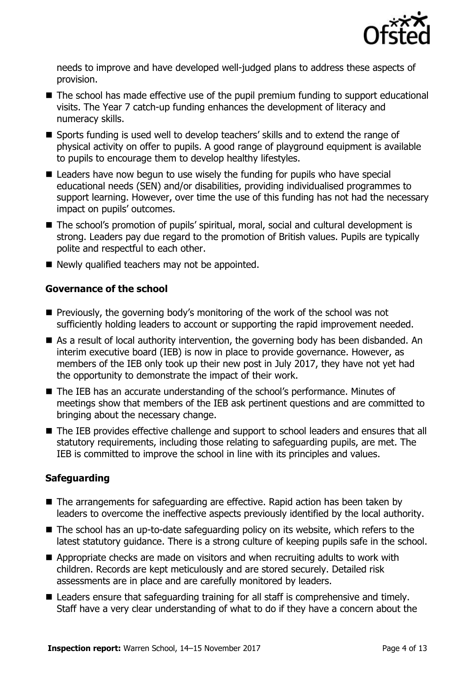

needs to improve and have developed well-judged plans to address these aspects of provision.

- The school has made effective use of the pupil premium funding to support educational visits. The Year 7 catch-up funding enhances the development of literacy and numeracy skills.
- Sports funding is used well to develop teachers' skills and to extend the range of physical activity on offer to pupils. A good range of playground equipment is available to pupils to encourage them to develop healthy lifestyles.
- Leaders have now begun to use wisely the funding for pupils who have special educational needs (SEN) and/or disabilities, providing individualised programmes to support learning. However, over time the use of this funding has not had the necessary impact on pupils' outcomes.
- The school's promotion of pupils' spiritual, moral, social and cultural development is strong. Leaders pay due regard to the promotion of British values. Pupils are typically polite and respectful to each other.
- Newly qualified teachers may not be appointed.

### **Governance of the school**

- $\blacksquare$  Previously, the governing body's monitoring of the work of the school was not sufficiently holding leaders to account or supporting the rapid improvement needed.
- As a result of local authority intervention, the governing body has been disbanded. An interim executive board (IEB) is now in place to provide governance. However, as members of the IEB only took up their new post in July 2017, they have not yet had the opportunity to demonstrate the impact of their work.
- The IEB has an accurate understanding of the school's performance. Minutes of meetings show that members of the IEB ask pertinent questions and are committed to bringing about the necessary change.
- The IEB provides effective challenge and support to school leaders and ensures that all statutory requirements, including those relating to safeguarding pupils, are met. The IEB is committed to improve the school in line with its principles and values.

### **Safeguarding**

- The arrangements for safeguarding are effective. Rapid action has been taken by leaders to overcome the ineffective aspects previously identified by the local authority.
- The school has an up-to-date safeguarding policy on its website, which refers to the latest statutory guidance. There is a strong culture of keeping pupils safe in the school.
- Appropriate checks are made on visitors and when recruiting adults to work with children. Records are kept meticulously and are stored securely. Detailed risk assessments are in place and are carefully monitored by leaders.
- Leaders ensure that safeguarding training for all staff is comprehensive and timely. Staff have a very clear understanding of what to do if they have a concern about the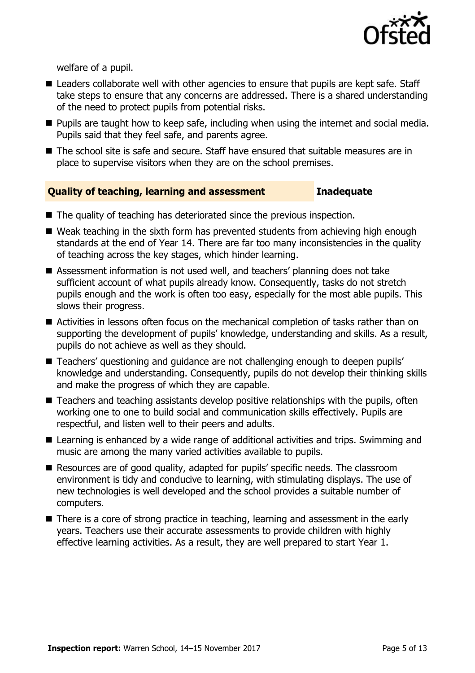

welfare of a pupil.

- Leaders collaborate well with other agencies to ensure that pupils are kept safe. Staff take steps to ensure that any concerns are addressed. There is a shared understanding of the need to protect pupils from potential risks.
- **Pupils are taught how to keep safe, including when using the internet and social media.** Pupils said that they feel safe, and parents agree.
- The school site is safe and secure. Staff have ensured that suitable measures are in place to supervise visitors when they are on the school premises.

### **Quality of teaching, learning and assessment Inadequate**

- The quality of teaching has deteriorated since the previous inspection.
- Weak teaching in the sixth form has prevented students from achieving high enough standards at the end of Year 14. There are far too many inconsistencies in the quality of teaching across the key stages, which hinder learning.
- Assessment information is not used well, and teachers' planning does not take sufficient account of what pupils already know. Consequently, tasks do not stretch pupils enough and the work is often too easy, especially for the most able pupils. This slows their progress.
- Activities in lessons often focus on the mechanical completion of tasks rather than on supporting the development of pupils' knowledge, understanding and skills. As a result, pupils do not achieve as well as they should.
- Teachers' questioning and quidance are not challenging enough to deepen pupils' knowledge and understanding. Consequently, pupils do not develop their thinking skills and make the progress of which they are capable.
- Teachers and teaching assistants develop positive relationships with the pupils, often working one to one to build social and communication skills effectively. Pupils are respectful, and listen well to their peers and adults.
- Learning is enhanced by a wide range of additional activities and trips. Swimming and music are among the many varied activities available to pupils.
- Resources are of good quality, adapted for pupils' specific needs. The classroom environment is tidy and conducive to learning, with stimulating displays. The use of new technologies is well developed and the school provides a suitable number of computers.
- There is a core of strong practice in teaching, learning and assessment in the early years. Teachers use their accurate assessments to provide children with highly effective learning activities. As a result, they are well prepared to start Year 1.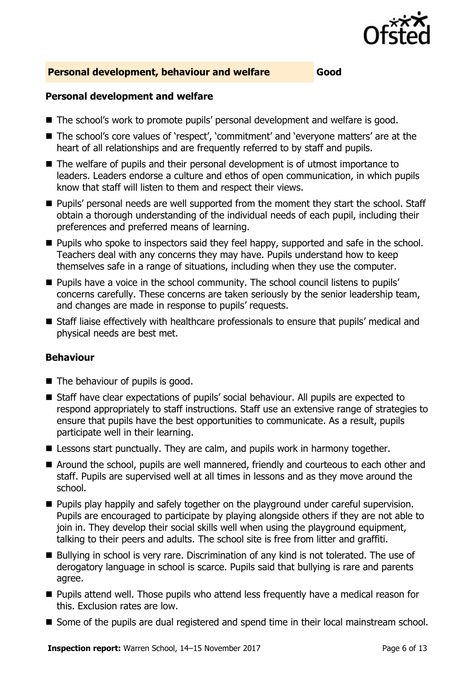

#### **Personal development, behaviour and welfare Good**

#### **Personal development and welfare**

- The school's work to promote pupils' personal development and welfare is good.
- The school's core values of 'respect', 'commitment' and 'everyone matters' are at the heart of all relationships and are frequently referred to by staff and pupils.
- The welfare of pupils and their personal development is of utmost importance to leaders. Leaders endorse a culture and ethos of open communication, in which pupils know that staff will listen to them and respect their views.
- **Pupils' personal needs are well supported from the moment they start the school. Staff** obtain a thorough understanding of the individual needs of each pupil, including their preferences and preferred means of learning.
- **Pupils who spoke to inspectors said they feel happy, supported and safe in the school.** Teachers deal with any concerns they may have. Pupils understand how to keep themselves safe in a range of situations, including when they use the computer.
- **Pupils have a voice in the school community. The school council listens to pupils'** concerns carefully. These concerns are taken seriously by the senior leadership team, and changes are made in response to pupils' requests.
- Staff liaise effectively with healthcare professionals to ensure that pupils' medical and physical needs are best met.

### **Behaviour**

- The behaviour of pupils is good.
- Staff have clear expectations of pupils' social behaviour. All pupils are expected to respond appropriately to staff instructions. Staff use an extensive range of strategies to ensure that pupils have the best opportunities to communicate. As a result, pupils participate well in their learning.
- E Lessons start punctually. They are calm, and pupils work in harmony together.
- Around the school, pupils are well mannered, friendly and courteous to each other and staff. Pupils are supervised well at all times in lessons and as they move around the school.
- **Pupils play happily and safely together on the playground under careful supervision.** Pupils are encouraged to participate by playing alongside others if they are not able to join in. They develop their social skills well when using the playground equipment, talking to their peers and adults. The school site is free from litter and graffiti.
- Bullying in school is very rare. Discrimination of any kind is not tolerated. The use of derogatory language in school is scarce. Pupils said that bullying is rare and parents agree.
- Pupils attend well. Those pupils who attend less frequently have a medical reason for this. Exclusion rates are low.
- Some of the pupils are dual registered and spend time in their local mainstream school.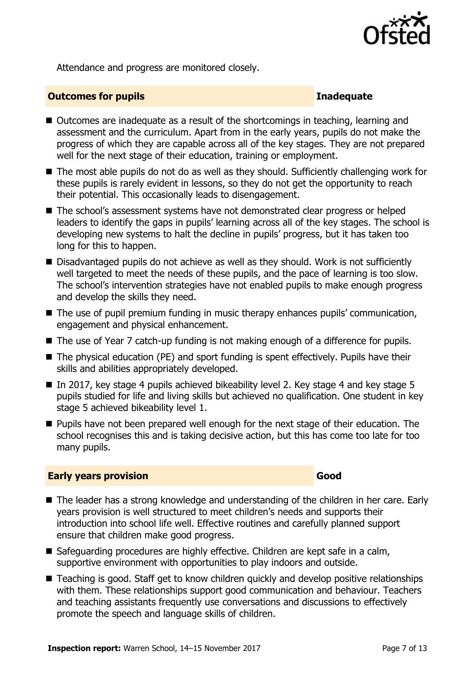

Attendance and progress are monitored closely.

#### **Outcomes for pupils Inadequate**

- Outcomes are inadequate as a result of the shortcomings in teaching, learning and assessment and the curriculum. Apart from in the early years, pupils do not make the progress of which they are capable across all of the key stages. They are not prepared well for the next stage of their education, training or employment.
- The most able pupils do not do as well as they should. Sufficiently challenging work for these pupils is rarely evident in lessons, so they do not get the opportunity to reach their potential. This occasionally leads to disengagement.
- The school's assessment systems have not demonstrated clear progress or helped leaders to identify the gaps in pupils' learning across all of the key stages. The school is developing new systems to halt the decline in pupils' progress, but it has taken too long for this to happen.
- Disadvantaged pupils do not achieve as well as they should. Work is not sufficiently well targeted to meet the needs of these pupils, and the pace of learning is too slow. The school's intervention strategies have not enabled pupils to make enough progress and develop the skills they need.
- The use of pupil premium funding in music therapy enhances pupils' communication, engagement and physical enhancement.
- The use of Year 7 catch-up funding is not making enough of a difference for pupils.
- The physical education (PE) and sport funding is spent effectively. Pupils have their skills and abilities appropriately developed.
- In 2017, key stage 4 pupils achieved bikeability level 2. Key stage 4 and key stage 5 pupils studied for life and living skills but achieved no qualification. One student in key stage 5 achieved bikeability level 1.
- **Pupils have not been prepared well enough for the next stage of their education. The** school recognises this and is taking decisive action, but this has come too late for too many pupils.

#### **Early years provision Good Good**

- The leader has a strong knowledge and understanding of the children in her care. Early years provision is well structured to meet children's needs and supports their introduction into school life well. Effective routines and carefully planned support ensure that children make good progress.
- Safeguarding procedures are highly effective. Children are kept safe in a calm, supportive environment with opportunities to play indoors and outside.
- Teaching is good. Staff get to know children guickly and develop positive relationships with them. These relationships support good communication and behaviour. Teachers and teaching assistants frequently use conversations and discussions to effectively promote the speech and language skills of children.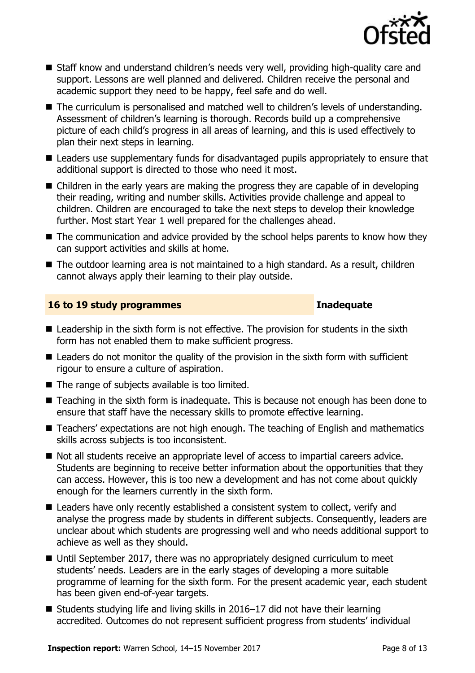

- Staff know and understand children's needs very well, providing high-quality care and support. Lessons are well planned and delivered. Children receive the personal and academic support they need to be happy, feel safe and do well.
- The curriculum is personalised and matched well to children's levels of understanding. Assessment of children's learning is thorough. Records build up a comprehensive picture of each child's progress in all areas of learning, and this is used effectively to plan their next steps in learning.
- Leaders use supplementary funds for disadvantaged pupils appropriately to ensure that additional support is directed to those who need it most.
- Children in the early years are making the progress they are capable of in developing their reading, writing and number skills. Activities provide challenge and appeal to children. Children are encouraged to take the next steps to develop their knowledge further. Most start Year 1 well prepared for the challenges ahead.
- $\blacksquare$  The communication and advice provided by the school helps parents to know how they can support activities and skills at home.
- The outdoor learning area is not maintained to a high standard. As a result, children cannot always apply their learning to their play outside.

#### **16 to 19 study programmes Inadequate**

- Leadership in the sixth form is not effective. The provision for students in the sixth form has not enabled them to make sufficient progress.
- Leaders do not monitor the quality of the provision in the sixth form with sufficient rigour to ensure a culture of aspiration.
- The range of subjects available is too limited.
- Teaching in the sixth form is inadequate. This is because not enough has been done to ensure that staff have the necessary skills to promote effective learning.
- Teachers' expectations are not high enough. The teaching of English and mathematics skills across subjects is too inconsistent.
- Not all students receive an appropriate level of access to impartial careers advice. Students are beginning to receive better information about the opportunities that they can access. However, this is too new a development and has not come about quickly enough for the learners currently in the sixth form.
- Leaders have only recently established a consistent system to collect, verify and analyse the progress made by students in different subjects. Consequently, leaders are unclear about which students are progressing well and who needs additional support to achieve as well as they should.
- Until September 2017, there was no appropriately designed curriculum to meet students' needs. Leaders are in the early stages of developing a more suitable programme of learning for the sixth form. For the present academic year, each student has been given end-of-year targets.
- Students studying life and living skills in 2016–17 did not have their learning accredited. Outcomes do not represent sufficient progress from students' individual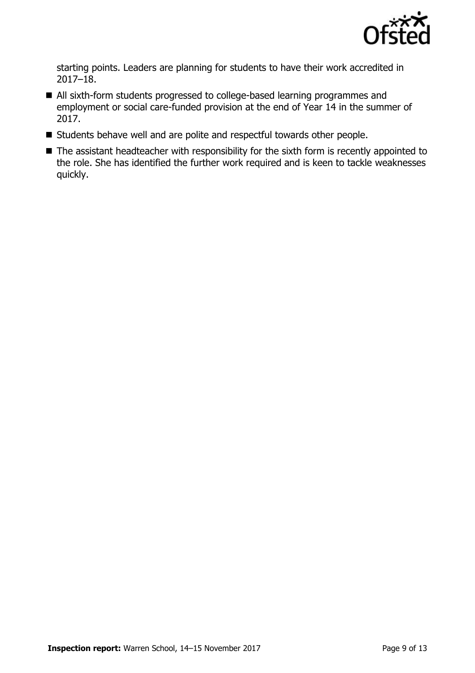

starting points. Leaders are planning for students to have their work accredited in 2017–18.

- All sixth-form students progressed to college-based learning programmes and employment or social care-funded provision at the end of Year 14 in the summer of 2017.
- Students behave well and are polite and respectful towards other people.
- The assistant headteacher with responsibility for the sixth form is recently appointed to the role. She has identified the further work required and is keen to tackle weaknesses quickly.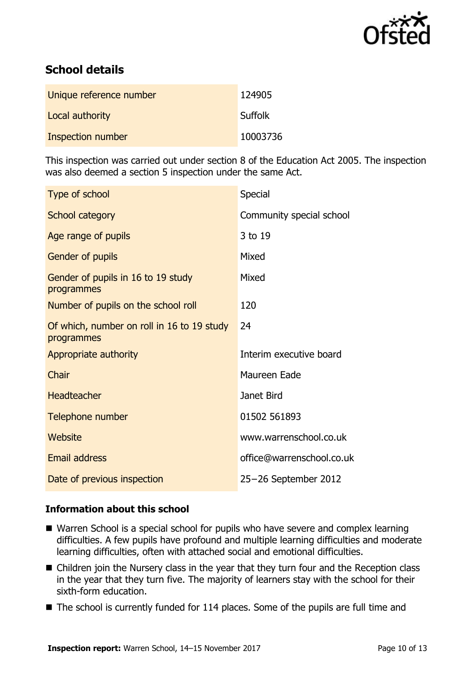

# **School details**

| Unique reference number | 124905         |
|-------------------------|----------------|
| Local authority         | <b>Suffolk</b> |
| Inspection number       | 10003736       |

This inspection was carried out under section 8 of the Education Act 2005. The inspection was also deemed a section 5 inspection under the same Act.

| Type of school                                           | Special                   |
|----------------------------------------------------------|---------------------------|
| School category                                          | Community special school  |
| Age range of pupils                                      | 3 to 19                   |
| Gender of pupils                                         | Mixed                     |
| Gender of pupils in 16 to 19 study<br>programmes         | Mixed                     |
| Number of pupils on the school roll                      | 120                       |
| Of which, number on roll in 16 to 19 study<br>programmes | 24                        |
| Appropriate authority                                    | Interim executive board   |
| Chair                                                    | Maureen Eade              |
| <b>Headteacher</b>                                       | Janet Bird                |
| Telephone number                                         | 01502 561893              |
| Website                                                  | www.warrenschool.co.uk    |
| <b>Email address</b>                                     | office@warrenschool.co.uk |
| Date of previous inspection                              | 25-26 September 2012      |

### **Information about this school**

- Warren School is a special school for pupils who have severe and complex learning difficulties. A few pupils have profound and multiple learning difficulties and moderate learning difficulties, often with attached social and emotional difficulties.
- Children join the Nursery class in the year that they turn four and the Reception class in the year that they turn five. The majority of learners stay with the school for their sixth-form education.
- $\blacksquare$  The school is currently funded for 114 places. Some of the pupils are full time and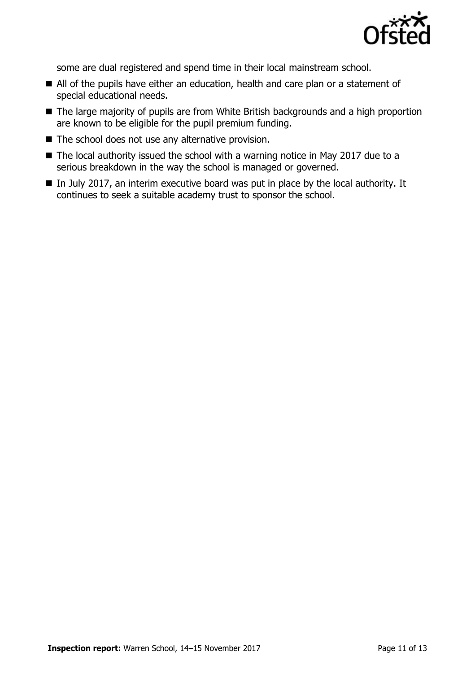

some are dual registered and spend time in their local mainstream school.

- All of the pupils have either an education, health and care plan or a statement of special educational needs.
- The large majority of pupils are from White British backgrounds and a high proportion are known to be eligible for the pupil premium funding.
- The school does not use any alternative provision.
- The local authority issued the school with a warning notice in May 2017 due to a serious breakdown in the way the school is managed or governed.
- $\blacksquare$  In July 2017, an interim executive board was put in place by the local authority. It continues to seek a suitable academy trust to sponsor the school.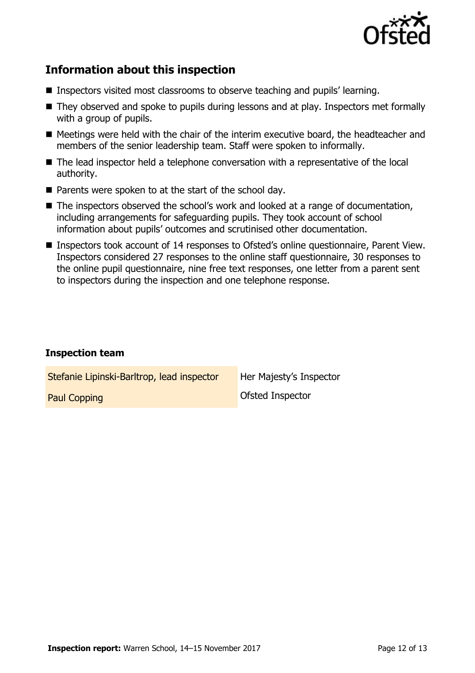

# **Information about this inspection**

- Inspectors visited most classrooms to observe teaching and pupils' learning.
- They observed and spoke to pupils during lessons and at play. Inspectors met formally with a group of pupils.
- Meetings were held with the chair of the interim executive board, the headteacher and members of the senior leadership team. Staff were spoken to informally.
- The lead inspector held a telephone conversation with a representative of the local authority.
- $\blacksquare$  Parents were spoken to at the start of the school day.
- The inspectors observed the school's work and looked at a range of documentation, including arrangements for safeguarding pupils. They took account of school information about pupils' outcomes and scrutinised other documentation.
- Inspectors took account of 14 responses to Ofsted's online questionnaire, Parent View. Inspectors considered 27 responses to the online staff questionnaire, 30 responses to the online pupil questionnaire, nine free text responses, one letter from a parent sent to inspectors during the inspection and one telephone response.

### **Inspection team**

| Stefanie Lipinski-Barltrop, lead inspector | Her Majesty's Inspector |
|--------------------------------------------|-------------------------|
| <b>Paul Copping</b>                        | <b>Ofsted Inspector</b> |